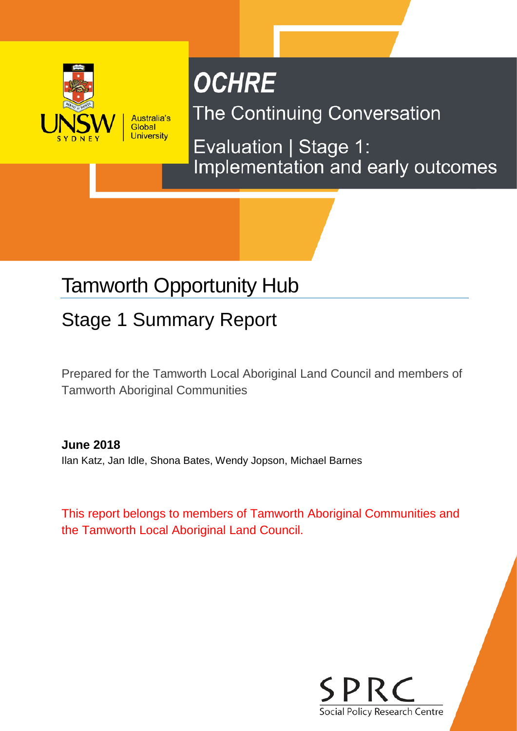

# **OCHRE**

The Continuing Conversation

Evaluation | Stage 1: Implementation and early outcomes

## Tamworth Opportunity Hub

## Stage 1 Summary Report

Prepared for the Tamworth Local Aboriginal Land Council and members of Tamworth Aboriginal Communities

**June 2018** Ilan Katz, Jan Idle, Shona Bates, Wendy Jopson, Michael Barnes

This report belongs to members of Tamworth Aboriginal Communities and the Tamworth Local Aboriginal Land Council.

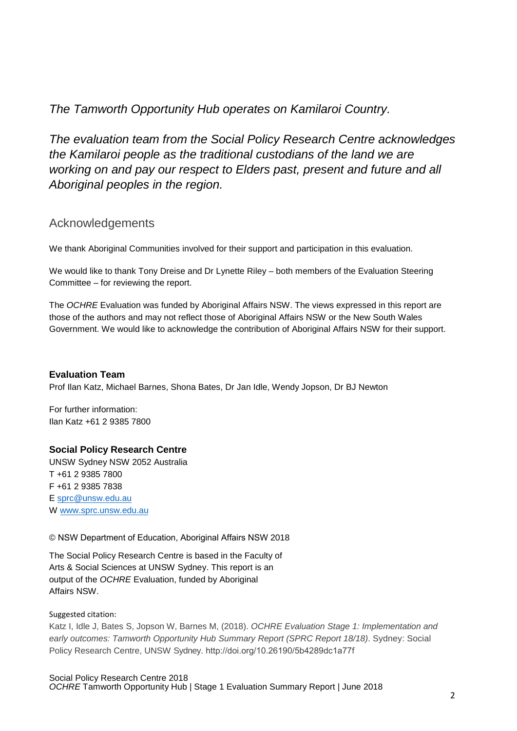*The Tamworth Opportunity Hub operates on Kamilaroi Country.*

*The evaluation team from the Social Policy Research Centre acknowledges the Kamilaroi people as the traditional custodians of the land we are working on and pay our respect to Elders past, present and future and all Aboriginal peoples in the region.*

#### Acknowledgements

We thank Aboriginal Communities involved for their support and participation in this evaluation.

We would like to thank Tony Dreise and Dr Lynette Riley – both members of the Evaluation Steering Committee – for reviewing the report.

The *OCHRE* Evaluation was funded by Aboriginal Affairs NSW. The views expressed in this report are those of the authors and may not reflect those of Aboriginal Affairs NSW or the New South Wales Government. We would like to acknowledge the contribution of Aboriginal Affairs NSW for their support.

#### **Evaluation Team**

Prof Ilan Katz, Michael Barnes, Shona Bates, Dr Jan Idle, Wendy Jopson, Dr BJ Newton

For further information: Ilan Katz +61 2 9385 7800

#### **Social Policy Research Centre**

UNSW Sydney NSW 2052 Australia T +61 2 9385 7800 F +61 2 9385 7838 E [sprc@unsw.edu.au](mailto:sprc@unsw.edu.au) W [www.sprc.unsw.edu.au](http://www.sprc.unsw.edu.au/)

© NSW Department of Education, Aboriginal Affairs NSW 2018

The Social Policy Research Centre is based in the Faculty of Arts & Social Sciences at UNSW Sydney. This report is an output of the *OCHRE* Evaluation, funded by Aboriginal Affairs NSW.

#### Suggested citation:

Katz I, Idle J, Bates S, Jopson W, Barnes M, (2018). *OCHRE Evaluation Stage 1: Implementation and early outcomes: Tamworth Opportunity Hub Summary Report (SPRC Report 18/18)*. Sydney: Social Policy Research Centre, UNSW Sydney. <http://doi.org/10.26190/5b4289dc1a77f>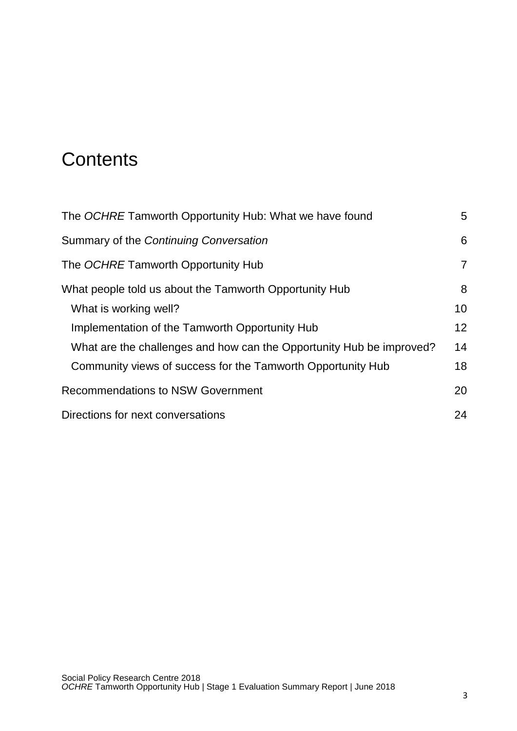## **Contents**

| The OCHRE Tamworth Opportunity Hub: What we have found               | 5              |
|----------------------------------------------------------------------|----------------|
| Summary of the Continuing Conversation                               | 6              |
| The OCHRE Tamworth Opportunity Hub                                   | $\overline{7}$ |
| What people told us about the Tamworth Opportunity Hub               | 8              |
| What is working well?                                                | 10             |
| Implementation of the Tamworth Opportunity Hub                       | 12             |
| What are the challenges and how can the Opportunity Hub be improved? | 14             |
| Community views of success for the Tamworth Opportunity Hub          | 18             |
| <b>Recommendations to NSW Government</b>                             | 20             |
| Directions for next conversations                                    | 24             |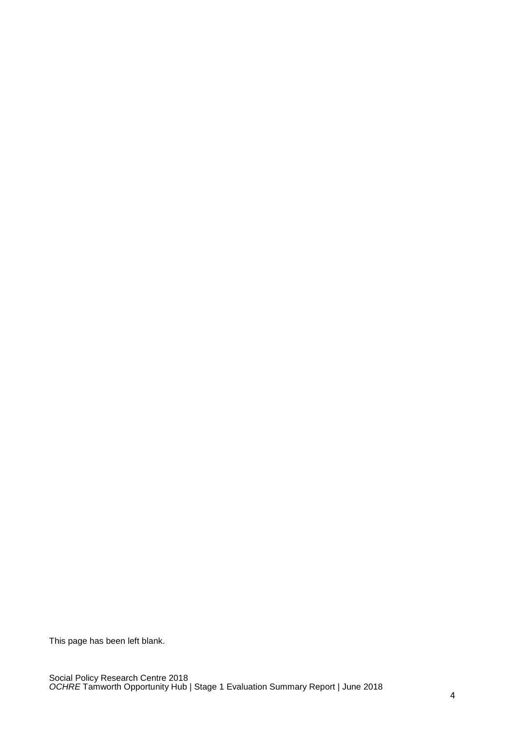This page has been left blank.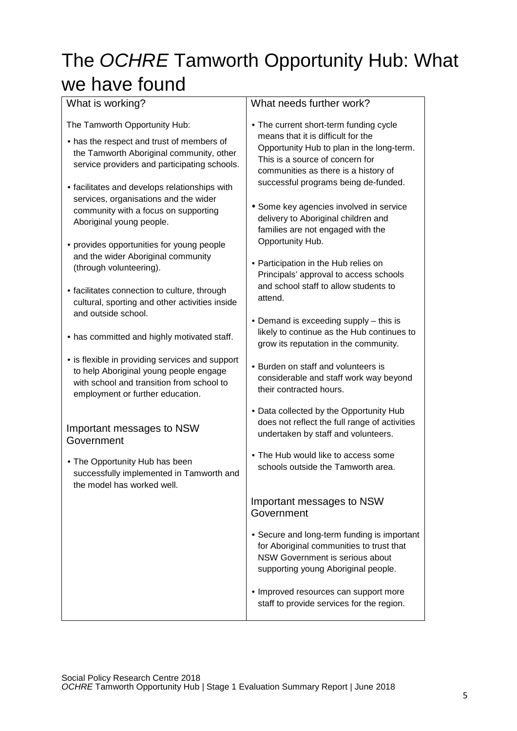## <span id="page-4-0"></span>The *OCHRE* Tamworth Opportunity Hub: What we have found

#### What is working? The Tamworth Opportunity Hub: • has the respect and trust of members of the Tamworth Aboriginal community, other service providers and participating schools. • facilitates and develops relationships with services, organisations and the wider community with a focus on supporting Aboriginal young people. • provides opportunities for young people and the wider Aboriginal community (through volunteering). • facilitates connection to culture, through cultural, sporting and other activities inside and outside school. • has committed and highly motivated staff. • is flexible in providing services and support to help Aboriginal young people engage with school and transition from school to employment or further education. Important messages to NSW Government • The Opportunity Hub has been successfully implemented in Tamworth and the model has worked well. What needs further work? • The current short-term funding cycle means that it is difficult for the Opportunity Hub to plan in the long-term. This is a source of concern for communities as there is a history of successful programs being de-funded. • Some key agencies involved in service delivery to Aboriginal children and families are not engaged with the Opportunity Hub. • Participation in the Hub relies on Principals' approval to access schools and school staff to allow students to attend. • Demand is exceeding supply – this is likely to continue as the Hub continues to grow its reputation in the community. • Burden on staff and volunteers is considerable and staff work way beyond their contracted hours. • Data collected by the Opportunity Hub does not reflect the full range of activities undertaken by staff and volunteers. • The Hub would like to access some schools outside the Tamworth area. Important messages to NSW **Government** • Secure and long-term funding is important for Aboriginal communities to trust that NSW Government is serious about supporting young Aboriginal people. • Improved resources can support more staff to provide services for the region.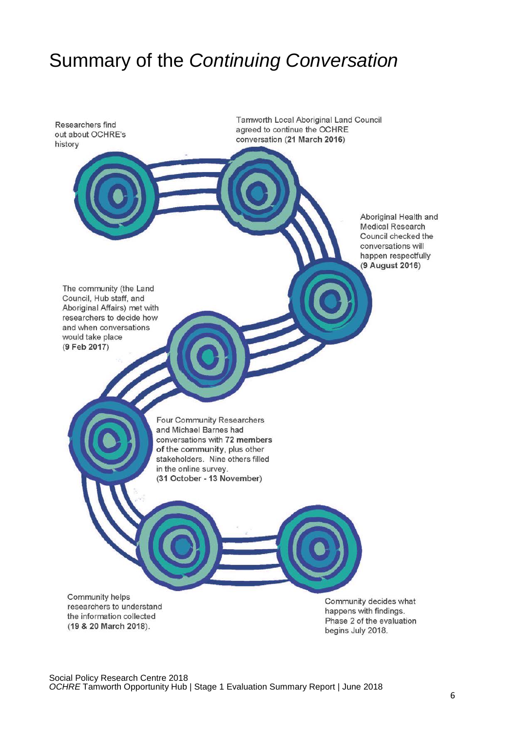### <span id="page-5-0"></span>Summary of the *Continuing Conversation*

Tamworth Local Aboriginal Land Council Researchers find agreed to continue the OCHRE out about OCHRE's conversation (21 March 2016) history Aboriginal Health and Medical Research Council checked the conversations will happen respectfully (9 August 2016) The community (the Land Council, Hub staff, and Aboriginal Affairs) met with researchers to decide how and when conversations would take place (9 Feb 2017) **Four Community Researchers** and Michael Barnes had conversations with 72 members of the community, plus other stakeholders. Nine others filled in the online survey. (31 October - 13 November) **Community helps** Community decides what researchers to understand happens with findings. the information collected Phase 2 of the evaluation (19 & 20 March 2018).

begins July 2018.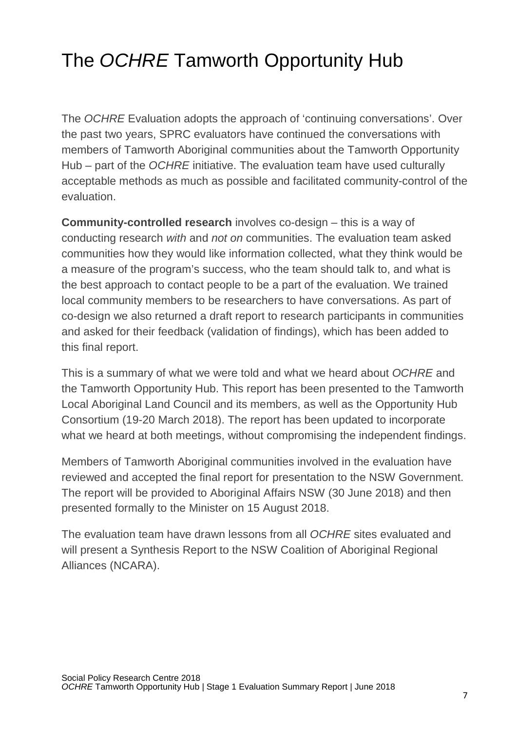## <span id="page-6-0"></span>The *OCHRE* Tamworth Opportunity Hub

The *OCHRE* Evaluation adopts the approach of 'continuing conversations'. Over the past two years, SPRC evaluators have continued the conversations with members of Tamworth Aboriginal communities about the Tamworth Opportunity Hub – part of the *OCHRE* initiative. The evaluation team have used culturally acceptable methods as much as possible and facilitated community-control of the evaluation.

**Community-controlled research** involves co-design – this is a way of conducting research *with* and *not on* communities. The evaluation team asked communities how they would like information collected, what they think would be a measure of the program's success, who the team should talk to, and what is the best approach to contact people to be a part of the evaluation. We trained local community members to be researchers to have conversations. As part of co-design we also returned a draft report to research participants in communities and asked for their feedback (validation of findings), which has been added to this final report.

This is a summary of what we were told and what we heard about *OCHRE* and the Tamworth Opportunity Hub. This report has been presented to the Tamworth Local Aboriginal Land Council and its members, as well as the Opportunity Hub Consortium (19-20 March 2018). The report has been updated to incorporate what we heard at both meetings, without compromising the independent findings.

Members of Tamworth Aboriginal communities involved in the evaluation have reviewed and accepted the final report for presentation to the NSW Government. The report will be provided to Aboriginal Affairs NSW (30 June 2018) and then presented formally to the Minister on 15 August 2018.

The evaluation team have drawn lessons from all *OCHRE* sites evaluated and will present a Synthesis Report to the NSW Coalition of Aboriginal Regional Alliances (NCARA).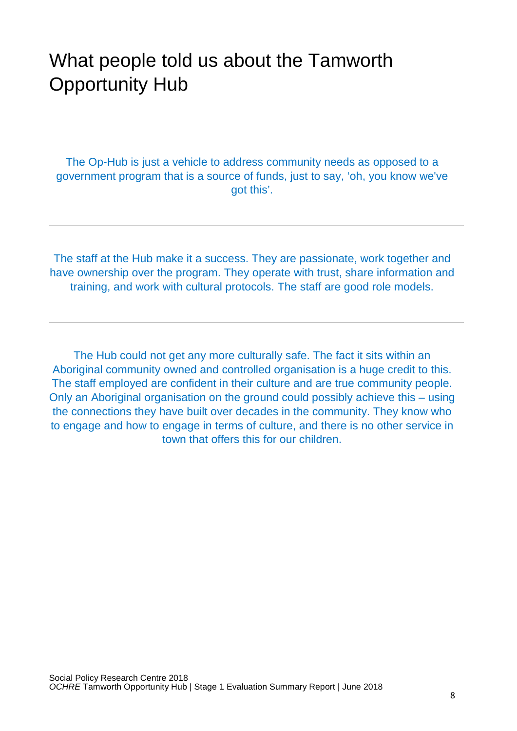## <span id="page-7-0"></span>What people told us about the Tamworth Opportunity Hub

The Op-Hub is just a vehicle to address community needs as opposed to a government program that is a source of funds, just to say, 'oh, you know we've got this'.

The staff at the Hub make it a success. They are passionate, work together and have ownership over the program. They operate with trust, share information and training, and work with cultural protocols. The staff are good role models.

The Hub could not get any more culturally safe. The fact it sits within an Aboriginal community owned and controlled organisation is a huge credit to this. The staff employed are confident in their culture and are true community people. Only an Aboriginal organisation on the ground could possibly achieve this – using the connections they have built over decades in the community. They know who to engage and how to engage in terms of culture, and there is no other service in town that offers this for our children.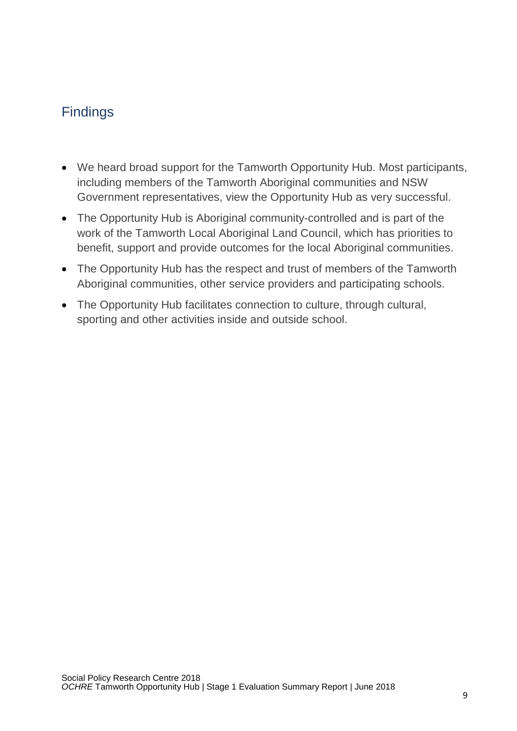### **Findings**

- We heard broad support for the Tamworth Opportunity Hub. Most participants, including members of the Tamworth Aboriginal communities and NSW Government representatives, view the Opportunity Hub as very successful.
- The Opportunity Hub is Aboriginal community-controlled and is part of the work of the Tamworth Local Aboriginal Land Council, which has priorities to benefit, support and provide outcomes for the local Aboriginal communities.
- The Opportunity Hub has the respect and trust of members of the Tamworth Aboriginal communities, other service providers and participating schools.
- The Opportunity Hub facilitates connection to culture, through cultural, sporting and other activities inside and outside school.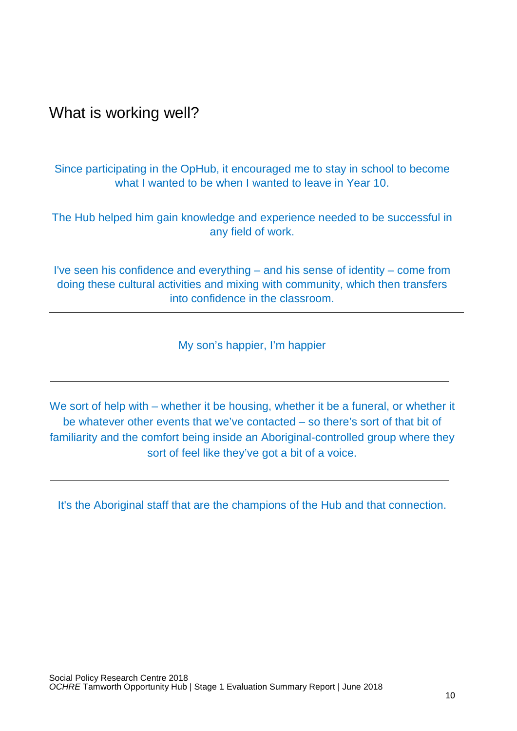<span id="page-9-0"></span>What is working well?

Since participating in the OpHub, it encouraged me to stay in school to become what I wanted to be when I wanted to leave in Year 10.

The Hub helped him gain knowledge and experience needed to be successful in any field of work.

I've seen his confidence and everything – and his sense of identity – come from doing these cultural activities and mixing with community, which then transfers into confidence in the classroom.

My son's happier, I'm happier

We sort of help with – whether it be housing, whether it be a funeral, or whether it be whatever other events that we've contacted – so there's sort of that bit of familiarity and the comfort being inside an Aboriginal-controlled group where they sort of feel like they've got a bit of a voice.

It's the Aboriginal staff that are the champions of the Hub and that connection.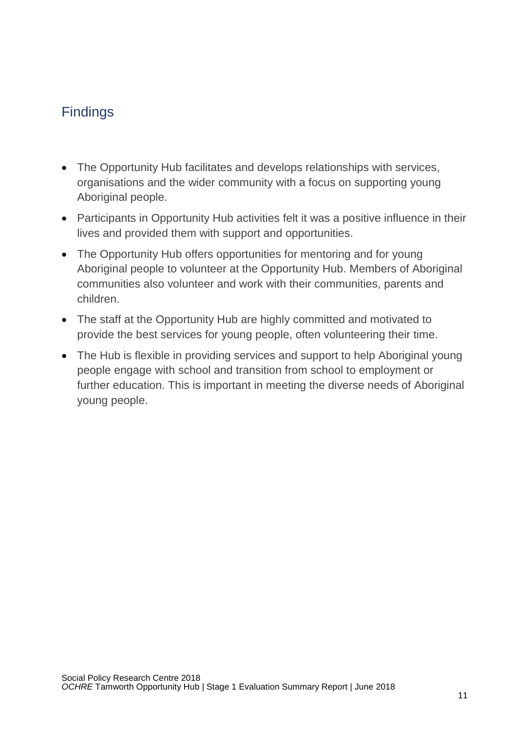### **Findings**

- The Opportunity Hub facilitates and develops relationships with services, organisations and the wider community with a focus on supporting young Aboriginal people.
- Participants in Opportunity Hub activities felt it was a positive influence in their lives and provided them with support and opportunities.
- The Opportunity Hub offers opportunities for mentoring and for young Aboriginal people to volunteer at the Opportunity Hub. Members of Aboriginal communities also volunteer and work with their communities, parents and children.
- The staff at the Opportunity Hub are highly committed and motivated to provide the best services for young people, often volunteering their time.
- The Hub is flexible in providing services and support to help Aboriginal young people engage with school and transition from school to employment or further education. This is important in meeting the diverse needs of Aboriginal young people.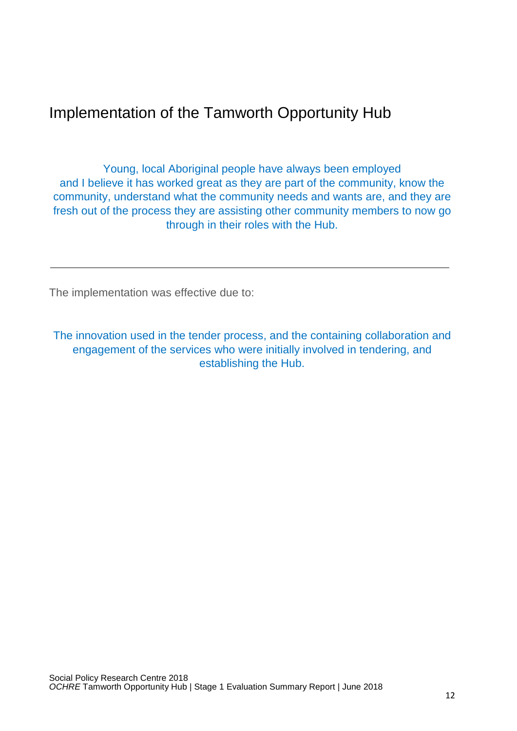### <span id="page-11-0"></span>Implementation of the Tamworth Opportunity Hub

Young, local Aboriginal people have always been employed and I believe it has worked great as they are part of the community, know the community, understand what the community needs and wants are, and they are fresh out of the process they are assisting other community members to now go through in their roles with the Hub.

The implementation was effective due to:

The innovation used in the tender process, and the containing collaboration and engagement of the services who were initially involved in tendering, and establishing the Hub.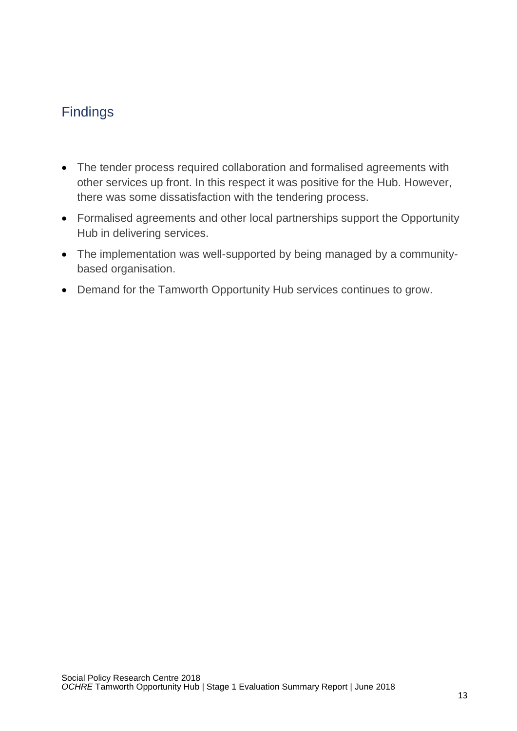### Findings

- The tender process required collaboration and formalised agreements with other services up front. In this respect it was positive for the Hub. However, there was some dissatisfaction with the tendering process.
- Formalised agreements and other local partnerships support the Opportunity Hub in delivering services.
- The implementation was well-supported by being managed by a communitybased organisation.
- Demand for the Tamworth Opportunity Hub services continues to grow.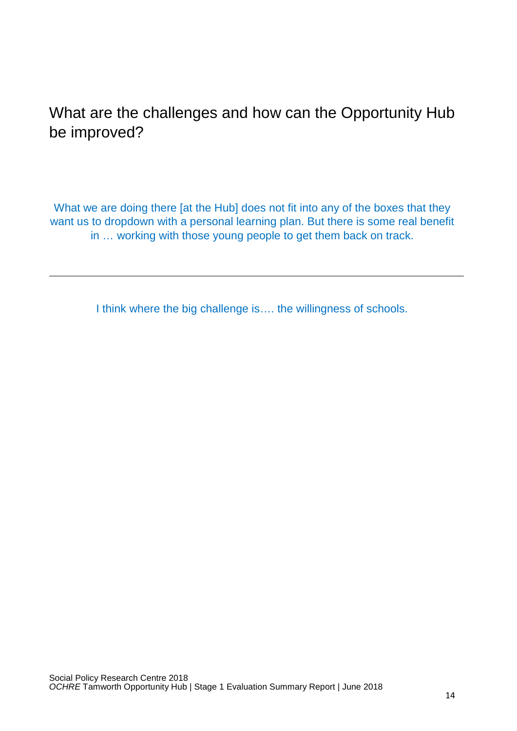### <span id="page-13-0"></span>What are the challenges and how can the Opportunity Hub be improved?

What we are doing there [at the Hub] does not fit into any of the boxes that they want us to dropdown with a personal learning plan. But there is some real benefit in … working with those young people to get them back on track.

I think where the big challenge is…. the willingness of schools.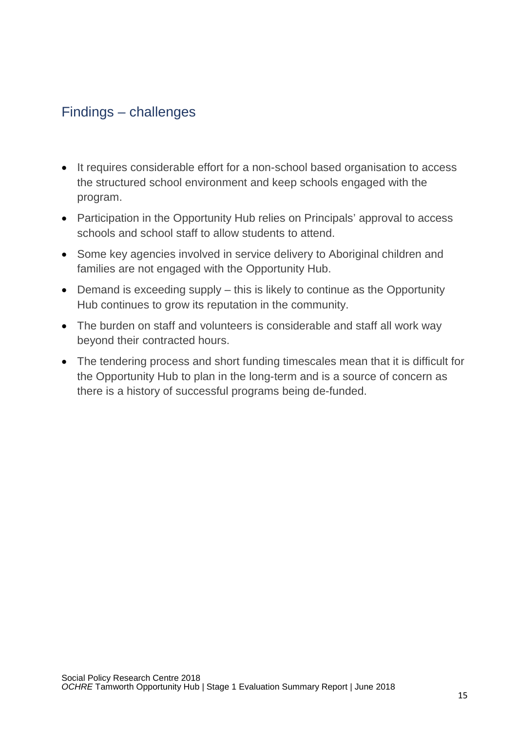#### Findings – challenges

- It requires considerable effort for a non-school based organisation to access the structured school environment and keep schools engaged with the program.
- Participation in the Opportunity Hub relies on Principals' approval to access schools and school staff to allow students to attend.
- Some key agencies involved in service delivery to Aboriginal children and families are not engaged with the Opportunity Hub.
- Demand is exceeding supply this is likely to continue as the Opportunity Hub continues to grow its reputation in the community.
- The burden on staff and volunteers is considerable and staff all work way beyond their contracted hours.
- The tendering process and short funding timescales mean that it is difficult for the Opportunity Hub to plan in the long-term and is a source of concern as there is a history of successful programs being de-funded.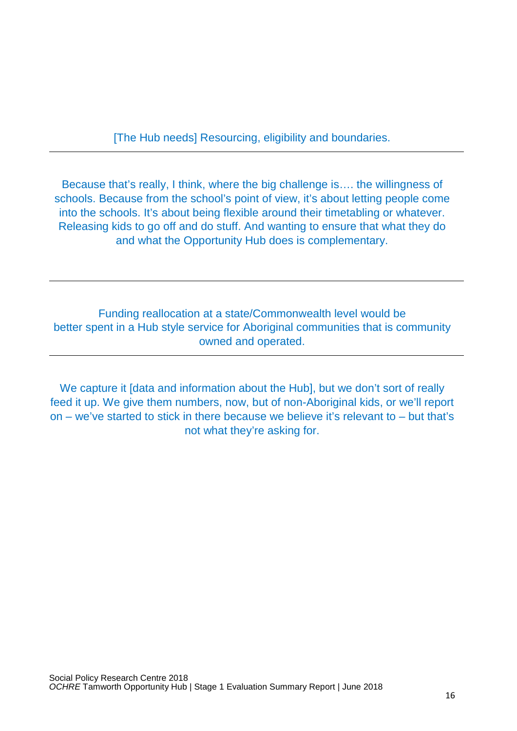Because that's really, I think, where the big challenge is…. the willingness of schools. Because from the school's point of view, it's about letting people come into the schools. It's about being flexible around their timetabling or whatever. Releasing kids to go off and do stuff. And wanting to ensure that what they do and what the Opportunity Hub does is complementary.

Funding reallocation at a state/Commonwealth level would be better spent in a Hub style service for Aboriginal communities that is community owned and operated.

We capture it *[data and information about the Hub]*, but we don't sort of really feed it up. We give them numbers, now, but of non-Aboriginal kids, or we'll report on – we've started to stick in there because we believe it's relevant to – but that's not what they're asking for.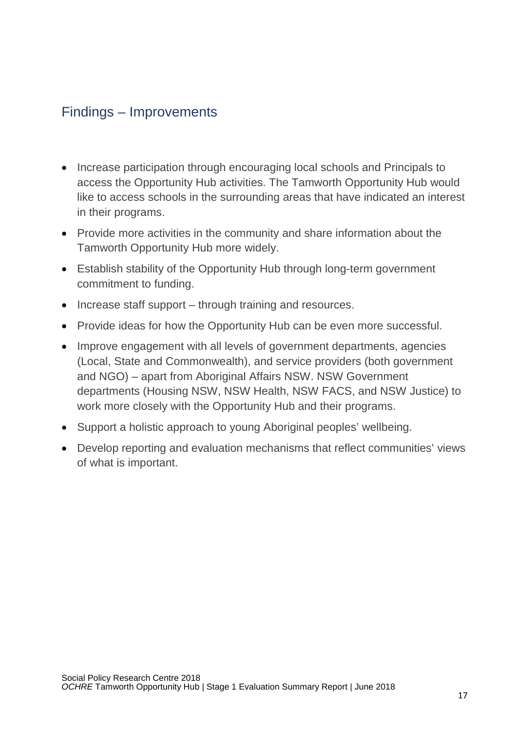#### Findings – Improvements

- Increase participation through encouraging local schools and Principals to access the Opportunity Hub activities. The Tamworth Opportunity Hub would like to access schools in the surrounding areas that have indicated an interest in their programs.
- Provide more activities in the community and share information about the Tamworth Opportunity Hub more widely.
- Establish stability of the Opportunity Hub through long-term government commitment to funding.
- Increase staff support through training and resources.
- Provide ideas for how the Opportunity Hub can be even more successful.
- Improve engagement with all levels of government departments, agencies (Local, State and Commonwealth), and service providers (both government and NGO) – apart from Aboriginal Affairs NSW. NSW Government departments (Housing NSW, NSW Health, NSW FACS, and NSW Justice) to work more closely with the Opportunity Hub and their programs.
- Support a holistic approach to young Aboriginal peoples' wellbeing.
- Develop reporting and evaluation mechanisms that reflect communities' views of what is important.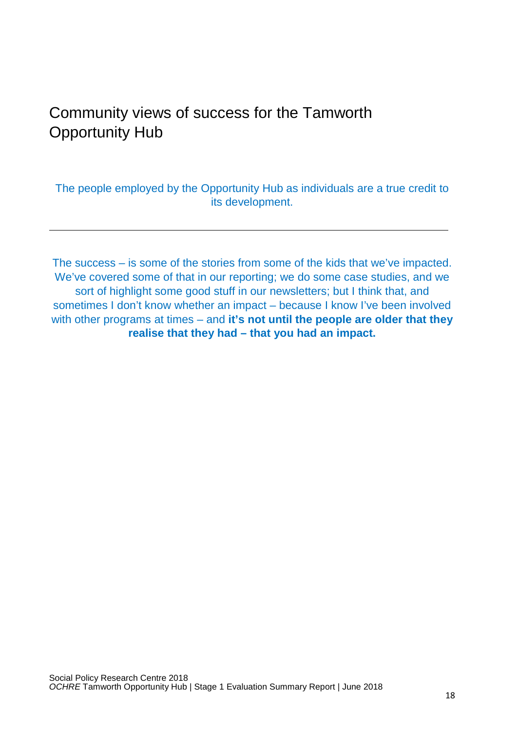### <span id="page-17-0"></span>Community views of success for the Tamworth Opportunity Hub

The people employed by the Opportunity Hub as individuals are a true credit to its development.

The success – is some of the stories from some of the kids that we've impacted. We've covered some of that in our reporting; we do some case studies, and we sort of highlight some good stuff in our newsletters; but I think that, and sometimes I don't know whether an impact – because I know I've been involved with other programs at times – and **it's not until the people are older that they realise that they had – that you had an impact.**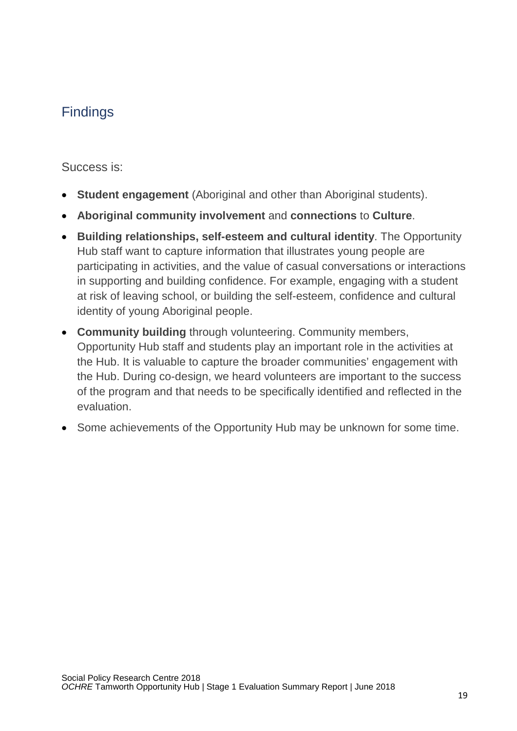#### **Findings**

Success is:

- **Student engagement** (Aboriginal and other than Aboriginal students).
- **Aboriginal community involvement** and **connections** to **Culture**.
- **Building relationships, self-esteem and cultural identity**. The Opportunity Hub staff want to capture information that illustrates young people are participating in activities, and the value of casual conversations or interactions in supporting and building confidence. For example, engaging with a student at risk of leaving school, or building the self-esteem, confidence and cultural identity of young Aboriginal people.
- **Community building** through volunteering. Community members, Opportunity Hub staff and students play an important role in the activities at the Hub. It is valuable to capture the broader communities' engagement with the Hub. During co-design, we heard volunteers are important to the success of the program and that needs to be specifically identified and reflected in the evaluation.
- Some achievements of the Opportunity Hub may be unknown for some time.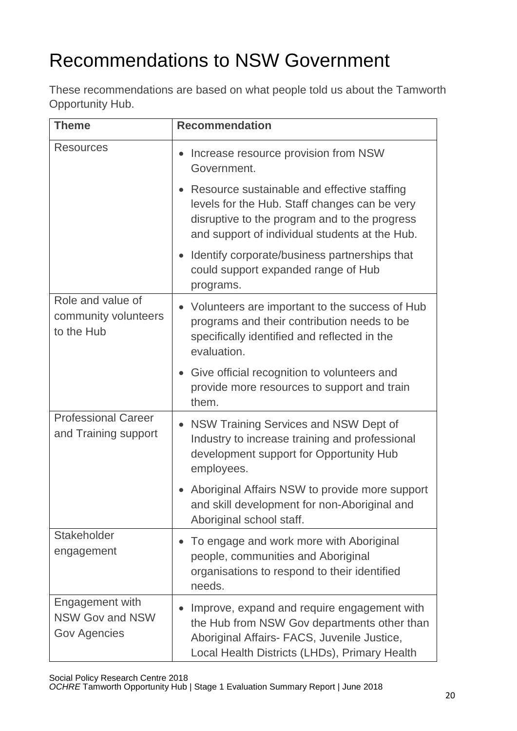## <span id="page-19-0"></span>Recommendations to NSW Government

These recommendations are based on what people told us about the Tamworth Opportunity Hub.

| <b>Theme</b>                                                                                                                      | <b>Recommendation</b>                                                                                                                                                                           |
|-----------------------------------------------------------------------------------------------------------------------------------|-------------------------------------------------------------------------------------------------------------------------------------------------------------------------------------------------|
| <b>Resources</b><br>Role and value of<br>community volunteers<br>to the Hub<br><b>Professional Career</b><br>and Training support | Increase resource provision from NSW<br>Government.                                                                                                                                             |
|                                                                                                                                   | Resource sustainable and effective staffing<br>levels for the Hub. Staff changes can be very<br>disruptive to the program and to the progress<br>and support of individual students at the Hub. |
|                                                                                                                                   | Identify corporate/business partnerships that<br>$\bullet$<br>could support expanded range of Hub<br>programs.                                                                                  |
|                                                                                                                                   | Volunteers are important to the success of Hub<br>$\bullet$<br>programs and their contribution needs to be<br>specifically identified and reflected in the<br>evaluation.                       |
|                                                                                                                                   | Give official recognition to volunteers and<br>provide more resources to support and train<br>them.                                                                                             |
|                                                                                                                                   | NSW Training Services and NSW Dept of<br>Industry to increase training and professional<br>development support for Opportunity Hub<br>employees.                                                |
|                                                                                                                                   | Aboriginal Affairs NSW to provide more support<br>and skill development for non-Aboriginal and<br>Aboriginal school staff.                                                                      |
| Stakeholder<br>engagement                                                                                                         | To engage and work more with Aboriginal<br>people, communities and Aboriginal<br>organisations to respond to their identified<br>needs.                                                         |
| Engagement with<br><b>NSW Gov and NSW</b><br><b>Gov Agencies</b>                                                                  | Improve, expand and require engagement with<br>the Hub from NSW Gov departments other than<br>Aboriginal Affairs- FACS, Juvenile Justice,<br>Local Health Districts (LHDs), Primary Health      |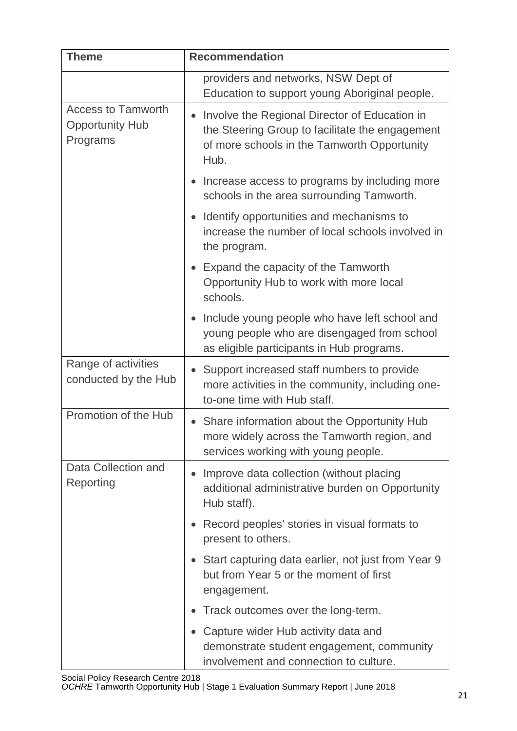| <b>Theme</b>                                                    | <b>Recommendation</b>                                                                                                                                   |
|-----------------------------------------------------------------|---------------------------------------------------------------------------------------------------------------------------------------------------------|
|                                                                 | providers and networks, NSW Dept of<br>Education to support young Aboriginal people.                                                                    |
| <b>Access to Tamworth</b><br><b>Opportunity Hub</b><br>Programs | Involve the Regional Director of Education in<br>the Steering Group to facilitate the engagement<br>of more schools in the Tamworth Opportunity<br>Hub. |
|                                                                 | • Increase access to programs by including more<br>schools in the area surrounding Tamworth.                                                            |
|                                                                 | Identify opportunities and mechanisms to<br>$\bullet$<br>increase the number of local schools involved in<br>the program.                               |
|                                                                 | • Expand the capacity of the Tamworth<br>Opportunity Hub to work with more local<br>schools.                                                            |
|                                                                 | Include young people who have left school and<br>$\bullet$<br>young people who are disengaged from school<br>as eligible participants in Hub programs.  |
| Range of activities<br>conducted by the Hub                     | Support increased staff numbers to provide<br>$\bullet$<br>more activities in the community, including one-<br>to-one time with Hub staff.              |
| Promotion of the Hub                                            | • Share information about the Opportunity Hub<br>more widely across the Tamworth region, and<br>services working with young people.                     |
| Data Collection and<br>Reporting                                | Improve data collection (without placing<br>additional administrative burden on Opportunity<br>Hub staff).                                              |
|                                                                 | Record peoples' stories in visual formats to<br>$\bullet$<br>present to others.                                                                         |
|                                                                 | • Start capturing data earlier, not just from Year 9<br>but from Year 5 or the moment of first<br>engagement.                                           |
|                                                                 | Track outcomes over the long-term.                                                                                                                      |
|                                                                 | Capture wider Hub activity data and<br>demonstrate student engagement, community<br>involvement and connection to culture.                              |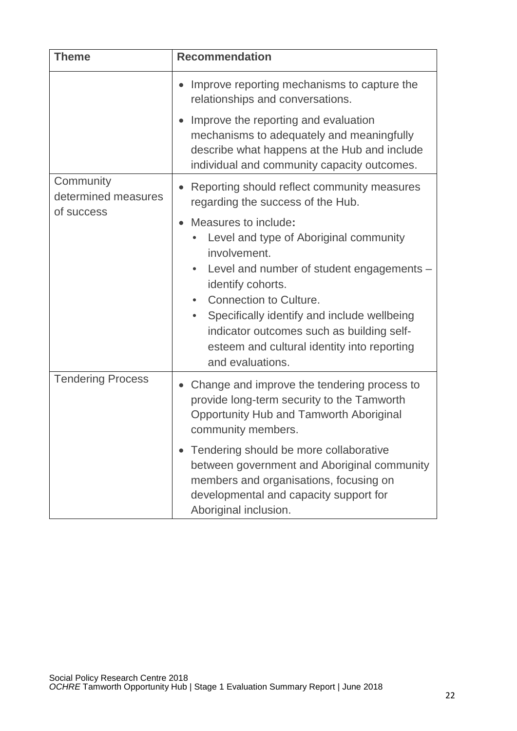| <b>Theme</b>                                                               | <b>Recommendation</b>                                                                                                                                                                                                                                                                                                                                                                   |
|----------------------------------------------------------------------------|-----------------------------------------------------------------------------------------------------------------------------------------------------------------------------------------------------------------------------------------------------------------------------------------------------------------------------------------------------------------------------------------|
| Community<br>determined measures<br>of success<br><b>Tendering Process</b> | Improve reporting mechanisms to capture the<br>relationships and conversations.                                                                                                                                                                                                                                                                                                         |
|                                                                            | Improve the reporting and evaluation<br>mechanisms to adequately and meaningfully<br>describe what happens at the Hub and include<br>individual and community capacity outcomes.                                                                                                                                                                                                        |
|                                                                            | Reporting should reflect community measures<br>$\bullet$<br>regarding the success of the Hub.                                                                                                                                                                                                                                                                                           |
|                                                                            | Measures to include:<br>Level and type of Aboriginal community<br>involvement.<br>Level and number of student engagements -<br>$\bullet$<br>identify cohorts.<br><b>Connection to Culture.</b><br>$\bullet$<br>Specifically identify and include wellbeing<br>$\bullet$<br>indicator outcomes such as building self-<br>esteem and cultural identity into reporting<br>and evaluations. |
|                                                                            | Change and improve the tendering process to<br>$\bullet$<br>provide long-term security to the Tamworth<br>Opportunity Hub and Tamworth Aboriginal<br>community members.                                                                                                                                                                                                                 |
|                                                                            | • Tendering should be more collaborative<br>between government and Aboriginal community<br>members and organisations, focusing on<br>developmental and capacity support for<br>Aboriginal inclusion.                                                                                                                                                                                    |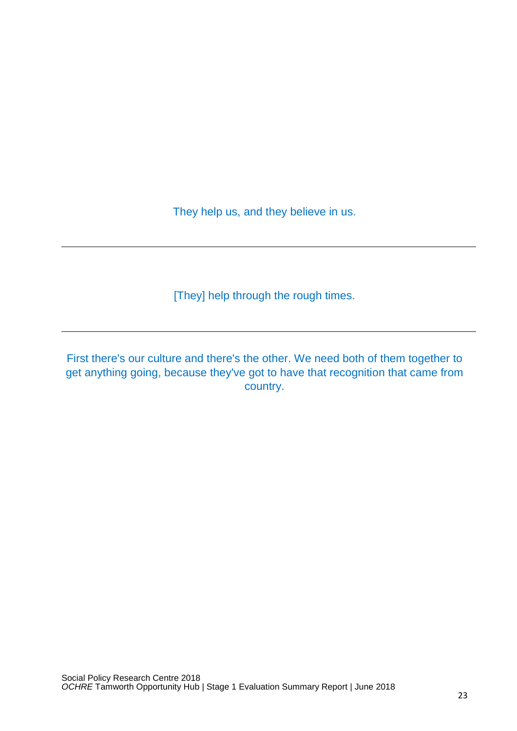They help us, and they believe in us.

[They] help through the rough times.

First there's our culture and there's the other. We need both of them together to get anything going, because they've got to have that recognition that came from country.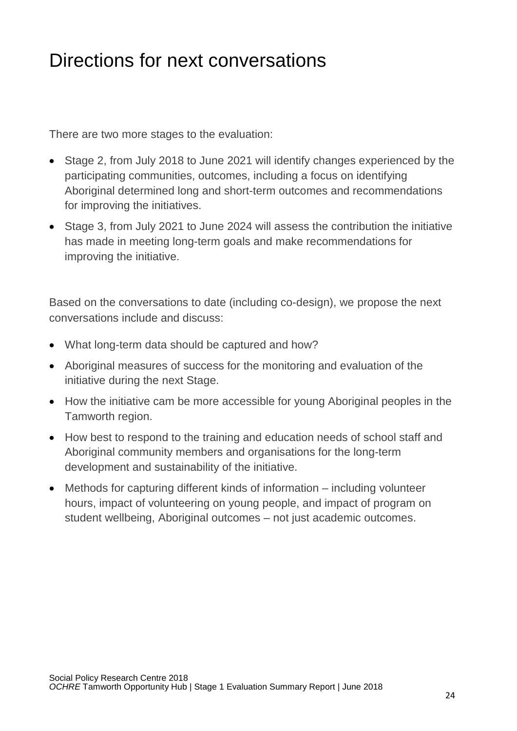### <span id="page-23-0"></span>Directions for next conversations

There are two more stages to the evaluation:

- Stage 2, from July 2018 to June 2021 will identify changes experienced by the participating communities, outcomes, including a focus on identifying Aboriginal determined long and short-term outcomes and recommendations for improving the initiatives.
- Stage 3, from July 2021 to June 2024 will assess the contribution the initiative has made in meeting long-term goals and make recommendations for improving the initiative.

Based on the conversations to date (including co-design), we propose the next conversations include and discuss:

- What long-term data should be captured and how?
- Aboriginal measures of success for the monitoring and evaluation of the initiative during the next Stage.
- How the initiative cam be more accessible for young Aboriginal peoples in the Tamworth region.
- How best to respond to the training and education needs of school staff and Aboriginal community members and organisations for the long-term development and sustainability of the initiative.
- Methods for capturing different kinds of information including volunteer hours, impact of volunteering on young people, and impact of program on student wellbeing, Aboriginal outcomes – not just academic outcomes.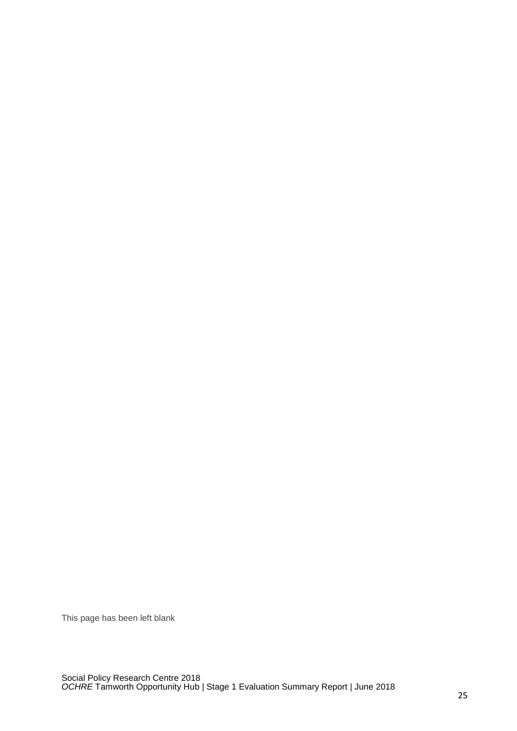This page has been left blank